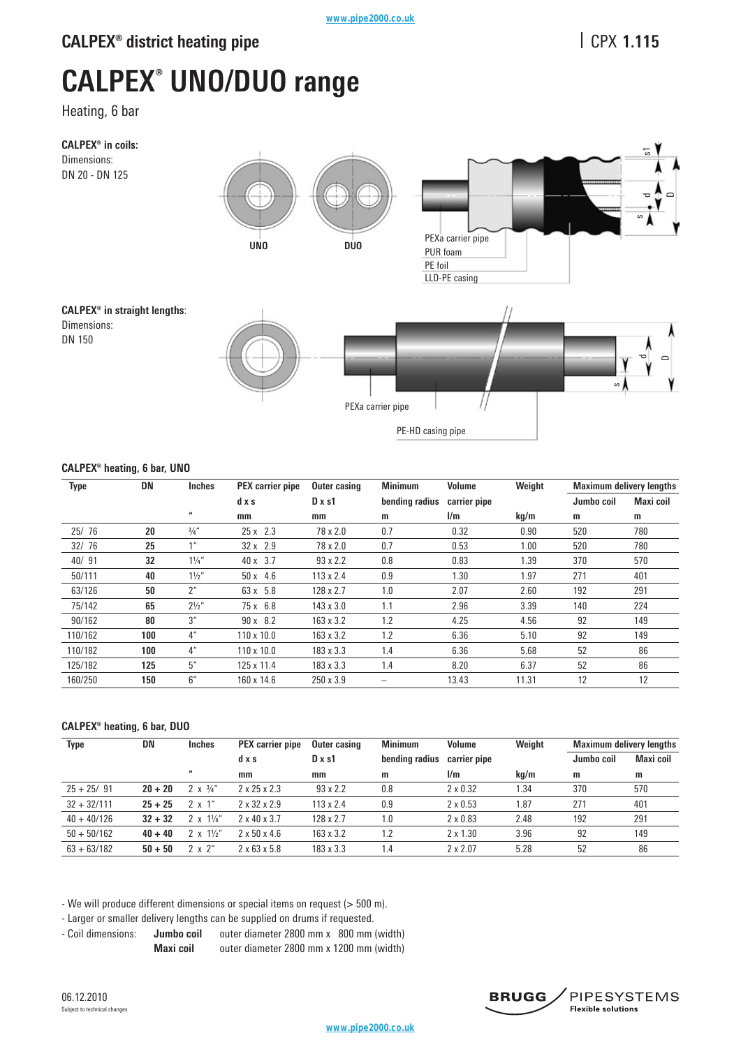# **CALPEX<sup>®</sup> district heating pipe**

# **1.115**

# **CALPEX® UNO/DUO range**

Heating, 6 bar



### **CALPEX® heating, 6 bar, UNO**

| <b>Type</b> | <b>DN</b> | Inches                  | PEX carrier pipe  | <b>Outer casing</b> | <b>Minimum</b> | <b>Volume</b> | Weight |            | <b>Maximum delivery lengths</b> |
|-------------|-----------|-------------------------|-------------------|---------------------|----------------|---------------|--------|------------|---------------------------------|
|             |           |                         | d x s             | $D \times s1$       | bending radius | carrier pipe  |        | Jumbo coil | Maxi coil                       |
|             |           | $\overline{\mathbf{u}}$ | mm                | mm                  | m              | l/m           | kg/m   | m          | m                               |
| 25/76       | 20        | $\frac{3}{4}$ "         | $25x$ 2.3         | 78 x 2.0            | 0.7            | 0.32          | 0.90   | 520        | 780                             |
| 32/76       | 25        | 1 <sup>''</sup>         | $32 \times 2.9$   | $78 \times 2.0$     | 0.7            | 0.53          | 1.00   | 520        | 780                             |
| 40/91       | 32        | $1\frac{1}{4}$          | $40 \times 3.7$   | $93 \times 2.2$     | 0.8            | 0.83          | 1.39   | 370        | 570                             |
| 50/111      | 40        | $1\frac{1}{2}$          | $50 \times 4.6$   | $113 \times 2.4$    | 0.9            | 1.30          | 1.97   | 271        | 401                             |
| 63/126      | 50        | 2 <sup>u</sup>          | $63 \times 5.8$   | 128 x 2.7           | 1.0            | 2.07          | 2.60   | 192        | 291                             |
| 75/142      | 65        | $2\frac{1}{2}$ "        | $75x$ 6.8         | $143 \times 3.0$    | 1.1            | 2.96          | 3.39   | 140        | 224                             |
| 90/162      | 80        | 3"                      | $90 \times 8.2$   | $163 \times 3.2$    | 1.2            | 4.25          | 4.56   | 92         | 149                             |
| 110/162     | 100       | 4 <sup>''</sup>         | $110 \times 10.0$ | $163 \times 3.2$    | 1.2            | 6.36          | 5.10   | 92         | 149                             |
| 110/182     | 100       | 4 <sup>''</sup>         | $110 \times 10.0$ | $183 \times 3.3$    | 1.4            | 6.36          | 5.68   | 52         | 86                              |
| 125/182     | 125       | 5"                      | 125 x 11.4        | $183 \times 3.3$    | 1.4            | 8.20          | 6.37   | 52         | 86                              |
| 160/250     | 150       | 6''                     | 160 x 14.6        | $250 \times 3.9$    |                | 13.43         | 11.31  | 12         | 12                              |

### **CALPEX® heating, 6 bar, DUO**

| Type          | DN        | <b>Inches</b>           | <b>PEX</b> carrier pipe  | Outer casing     | <b>Minimum</b> | Volume          | Weight | <b>Maximum delivery lengths</b> |           |
|---------------|-----------|-------------------------|--------------------------|------------------|----------------|-----------------|--------|---------------------------------|-----------|
|               |           |                         | dxs                      | $D \times s1$    | bending radius | carrier pipe    |        | Jumbo coil                      | Maxi coil |
|               |           | $\overline{\mathbf{u}}$ | mm                       | mm               | m              | 1/m             | kg/m   | m                               | m         |
| $25 + 25/91$  | $20 + 20$ | 2 $\times$ 3/4"         | $2 \times 25 \times 2.3$ | $93 \times 2.2$  | 0.8            | $2 \times 0.32$ | 1.34   | 370                             | 570       |
| $32 + 32/111$ | $25 + 25$ | $2 \times 1$ "          | $2 \times 32 \times 2.9$ | 113 x 2.4        | 0.9            | $2 \times 0.53$ | l.87   | 271                             | 401       |
| $40 + 40/126$ | $32 + 32$ | $2 \times 1\frac{1}{4}$ | $2 \times 40 \times 3.7$ | 128 x 2.7        | 1.0            | $2 \times 0.83$ | 2.48   | 192                             | 291       |
| $50 + 50/162$ | $40 + 40$ | $2 \times 1\frac{1}{2}$ | $2 \times 50 \times 4.6$ | 163 x 3.2        | 1.2            | $2 \times 1.30$ | 3.96   | 92                              | 149       |
| $63 + 63/182$ | $50 + 50$ | $2 \times 2$ "          | $2 \times 63 \times 5.8$ | $183 \times 3.3$ | 1.4            | $2 \times 2.07$ | 5.28   | 52                              | 86        |

- We will produce different dimensions or special items on request (> 500 m).

- Larger or smaller delivery lengths can be supplied on drums if requested.

- Coil dimensions: **Jumbo coil** outer diameter 2800 mm x 800 mm (width) **Maxi coil** outer diameter 2800 mm x 1200 mm (width)

06.12.2010 Subject to technical changes

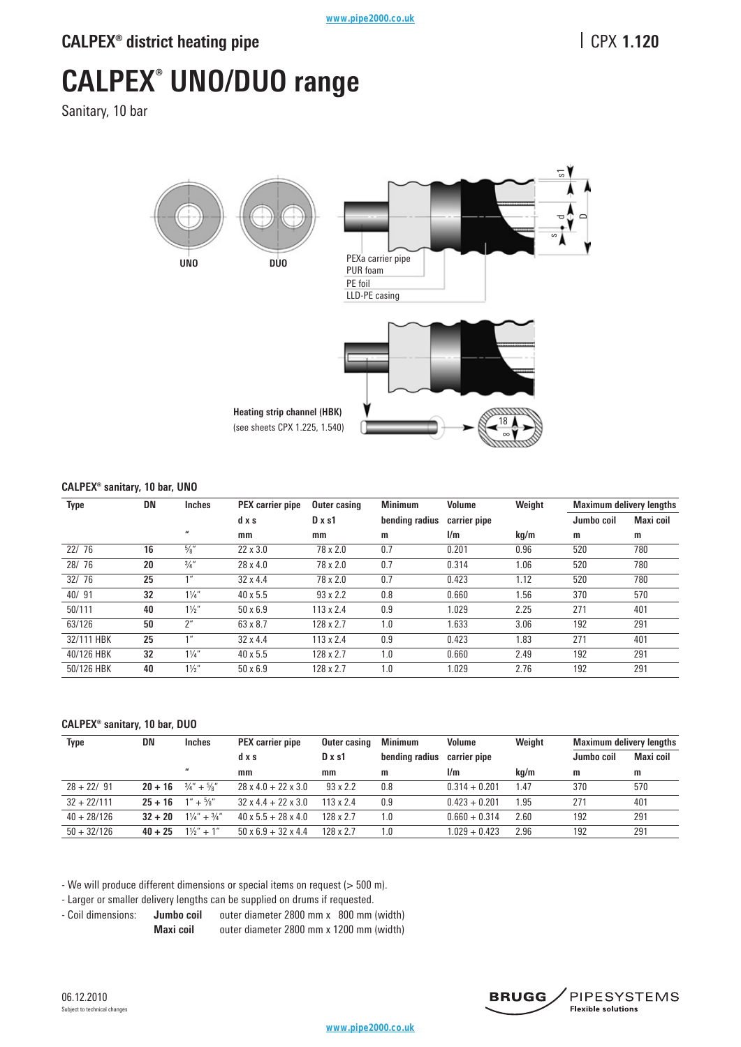# **CALPEX® UNO/DUO range**

Sanitary, 10 bar



#### **CALPEX® sanitary, 10 bar, UNO**

| <b>Type</b> | DN | <b>Inches</b>           | <b>PEX</b> carrier pipe | <b>Outer casing</b> | <b>Minimum</b> | <b>Volume</b> | Weight |            | <b>Maximum delivery lengths</b> |
|-------------|----|-------------------------|-------------------------|---------------------|----------------|---------------|--------|------------|---------------------------------|
|             |    |                         | dxs                     | $D \times s1$       | bending radius | carrier pipe  |        | Jumbo coil | Maxi coil                       |
|             |    | $\overline{\mathbf{u}}$ | mm                      | mm                  | m              | 1/m           | kg/m   | m          | m                               |
| 22/76       | 16 | $\frac{5}{8}$ "         | $22 \times 3.0$         | 78 x 2.0            | 0.7            | 0.201         | 0.96   | 520        | 780                             |
| 28/76       | 20 | 3/4''                   | $28 \times 4.0$         | $78 \times 2.0$     | 0.7            | 0.314         | 1.06   | 520        | 780                             |
| 32/76       | 25 | 1 <sup>II</sup>         | $32 \times 4.4$         | $78 \times 2.0$     | 0.7            | 0.423         | 1.12   | 520        | 780                             |
| 40/91       | 32 | $1\frac{1}{4}$          | $40 \times 5.5$         | $93 \times 2.2$     | 0.8            | 0.660         | 1.56   | 370        | 570                             |
| 50/111      | 40 | $1\frac{1}{2}$          | $50 \times 6.9$         | $113 \times 2.4$    | 0.9            | 1.029         | 2.25   | 271        | 401                             |
| 63/126      | 50 | $2^{\prime\prime}$      | 63 x 8.7                | 128 x 2.7           | 1.0            | 1.633         | 3.06   | 192        | 291                             |
| 32/111 HBK  | 25 | 1 <sup>''</sup>         | $32 \times 4.4$         | $113 \times 2.4$    | 0.9            | 0.423         | 1.83   | 271        | 401                             |
| 40/126 HBK  | 32 | $1\frac{1}{4}$          | $40 \times 5.5$         | 128 x 2.7           | 1.0            | 0.660         | 2.49   | 192        | 291                             |
| 50/126 HBK  | 40 | $1\frac{1}{2}$          | $50 \times 6.9$         | 128 x 2.7           | 1.0            | 1.029         | 2.76   | 192        | 291                             |

#### **CALPEX® sanitary, 10 bar, DUO**

| Type          | DN        | Inches                            | PEX carrier pipe                | <b>Outer casing</b> | <b>Minimum</b> | <b>Volume</b>   | Weight | <b>Maximum delivery lengths</b> |           |
|---------------|-----------|-----------------------------------|---------------------------------|---------------------|----------------|-----------------|--------|---------------------------------|-----------|
|               |           |                                   | dxs                             | $D \times s1$       | bending radius | carrier pipe    |        | Jumbo coil                      | Maxi coil |
|               |           | $\boldsymbol{\mu}$                | mm                              | mm                  | m              | 1/m             | kg/m   | m                               | m         |
| $28 + 22/91$  | $20 + 16$ | $\frac{3}{4}$ " + $\frac{5}{8}$ " | $28 \times 4.0 + 22 \times 3.0$ | $93 \times 2.2$     | 0.8            | $0.314 + 0.201$ | 1.47   | 370                             | 570       |
| $32 + 22/111$ | $25 + 16$ | $1'' + \frac{5}{8}''$             | $32 \times 4.4 + 22 \times 3.0$ | $113 \times 2.4$    | 0.9            | $0.423 + 0.201$ | 1.95   | 271                             | 401       |
| $40 + 28/126$ | $32 + 20$ | $1\frac{1}{4}$ + $\frac{3}{4}$ "  | $40 \times 5.5 + 28 \times 4.0$ | 128 x 2.7           | 1.0            | $0.660 + 0.314$ | 2.60   | 192                             | 291       |
| $50 + 32/126$ | $40 + 25$ | $1\frac{1}{2}$ + 1"               | $50 \times 6.9 + 32 \times 4.4$ | 128 x 2.7           | 1.0            | $1.029 + 0.423$ | 2.96   | 192                             | 291       |

- We will produce different dimensions or special items on request (> 500 m).

- Larger or smaller delivery lengths can be supplied on drums if requested.

- Coil dimensions: **Jumbo coil**  outer diameter 2800 mm x 800 mm (width) **Maxi coil** outer diameter 2800 mm x 1200 mm (width)

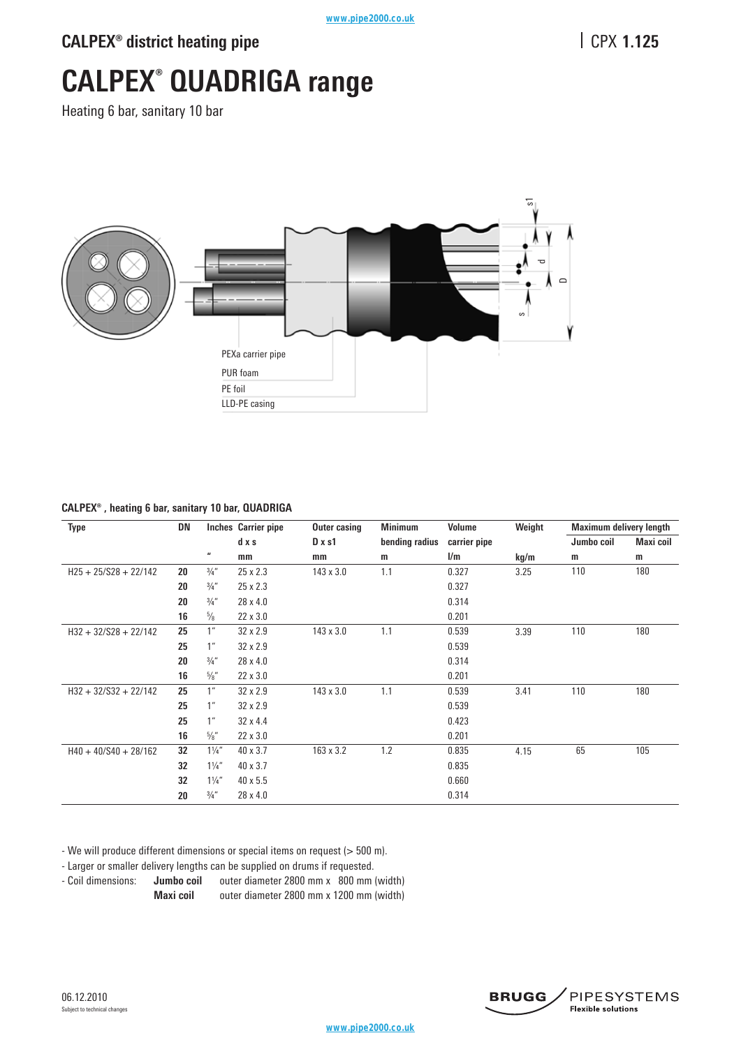## **CALPEX<sup>®</sup> district heating pipe**

# **1.125**

# **CALPEX® QUADRIGA range**

Heating 6 bar, sanitary 10 bar



### **CALPEX® , heating 6 bar, sanitary 10 bar, QUADRIGA**

| <b>Type</b>             | DN |                    | Inches Carrier pipe | Outer casing  | <b>Minimum</b> | Volume       | Weight | <b>Maximum delivery length</b> |                  |
|-------------------------|----|--------------------|---------------------|---------------|----------------|--------------|--------|--------------------------------|------------------|
|                         |    |                    | d x s               | $D \times s1$ | bending radius | carrier pipe |        | Jumbo coil                     | <b>Maxi coil</b> |
|                         |    | $\pmb{\mathit{u}}$ | mm                  | mm            | m              | l/m          | kg/m   | m                              | m                |
| $H25 + 25/S28 + 22/142$ | 20 | $\frac{3}{4}$ "    | 25 x 2.3            | 143 x 3.0     | 1.1            | 0.327        | 3.25   | 110                            | 180              |
|                         | 20 | $\frac{3}{4}$ "    | 25 x 2.3            |               |                | 0.327        |        |                                |                  |
|                         | 20 | $\frac{3}{4}$ "    | 28 x 4.0            |               |                | 0.314        |        |                                |                  |
|                         | 16 | $\frac{5}{8}$      | 22 x 3.0            |               |                | 0.201        |        |                                |                  |
| $H32 + 32/S28 + 22/142$ | 25 | 1 <sup>''</sup>    | 32 x 2.9            | 143 x 3.0     | 1.1            | 0.539        | 3.39   | 110                            | 180              |
|                         | 25 | $1^{\prime\prime}$ | 32 x 2.9            |               |                | 0.539        |        |                                |                  |
|                         | 20 | 3/4''              | 28 x 4.0            |               |                | 0.314        |        |                                |                  |
|                         | 16 | $\frac{5}{8}$ "    | 22 x 3.0            |               |                | 0.201        |        |                                |                  |
| $H32 + 32/S32 + 22/142$ | 25 | 1 <sup>''</sup>    | 32 x 2.9            | 143 x 3.0     | 1.1            | 0.539        | 3.41   | 110                            | 180              |
|                         | 25 | 1 <sup>''</sup>    | 32 x 2.9            |               |                | 0.539        |        |                                |                  |
|                         | 25 | 1 <sup>''</sup>    | 32 x 4.4            |               |                | 0.423        |        |                                |                  |
|                         | 16 | $\frac{5}{8}$ "    | 22 x 3.0            |               |                | 0.201        |        |                                |                  |
| $H40 + 40/S40 + 28/162$ | 32 | $1\frac{1}{4}$     | 40 x 3.7            | 163 x 3.2     | 1.2            | 0.835        | 4.15   | 65                             | 105              |
|                         | 32 | $1\frac{1}{4}$     | 40 x 3.7            |               |                | 0.835        |        |                                |                  |
|                         | 32 | $1\frac{1}{4}$     | 40 x 5.5            |               |                | 0.660        |        |                                |                  |
|                         | 20 | $\frac{3}{4}$ "    | 28 x 4.0            |               |                | 0.314        |        |                                |                  |

- We will produce different dimensions or special items on request (> 500 m).

- Larger or smaller delivery lengths can be supplied on drums if requested.

- Coil dimensions: **Jumbo coil**  outer diameter 2800 mm x 800 mm (width) **Maxi coil** outer diameter 2800 mm x 1200 mm (width)

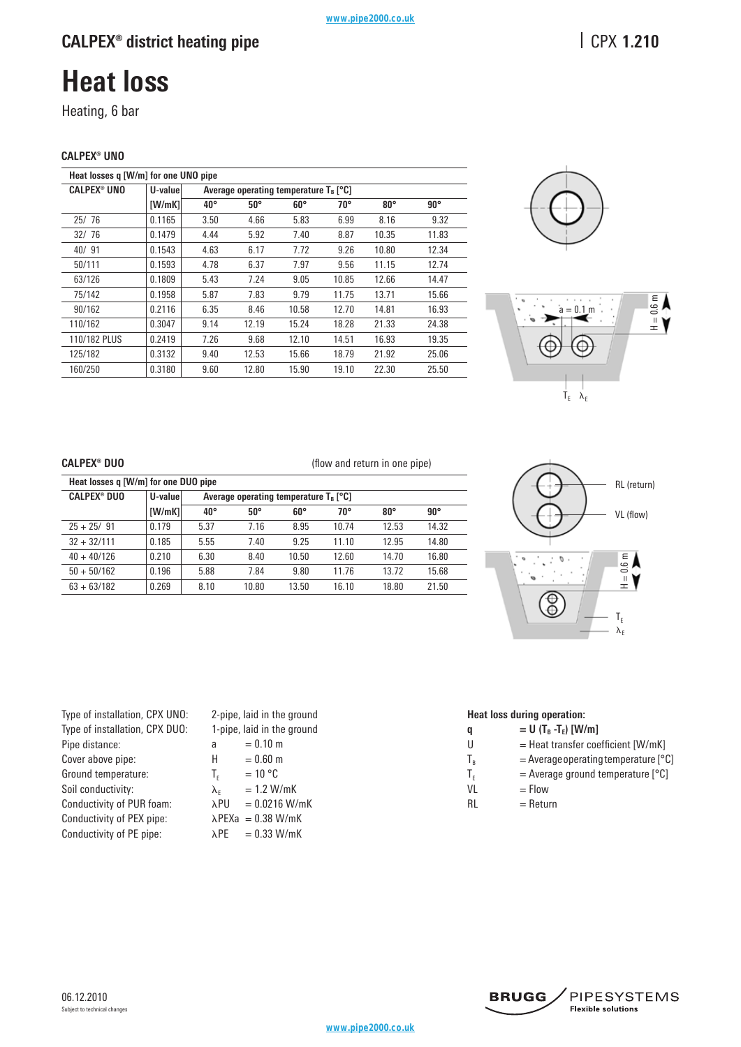# **Heat loss**

Heating, 6 bar

### **CALPEX® UNO**

| Heat losses q [W/m] for one UNO pipe |         |              |            |                                                     |              |              |            |
|--------------------------------------|---------|--------------|------------|-----------------------------------------------------|--------------|--------------|------------|
| <b>CALPEX<sup>®</sup> UNO</b>        | U-value |              |            | Average operating temperature $T_R$ [ $^{\circ}$ C] |              |              |            |
|                                      | [W/mK]  | $40^{\circ}$ | $50^\circ$ | $60^\circ$                                          | $70^{\circ}$ | $80^{\circ}$ | $90^\circ$ |
| 25/76                                | 0.1165  | 3.50         | 4.66       | 5.83                                                | 6.99         | 8.16         | 9.32       |
| 32/76                                | 0.1479  | 4.44         | 5.92       | 7.40                                                | 8.87         | 10.35        | 11.83      |
| 40/91                                | 0.1543  | 4.63         | 6.17       | 7.72                                                | 9.26         | 10.80        | 12.34      |
| 50/111                               | 0.1593  | 4.78         | 6.37       | 7.97                                                | 9.56         | 11.15        | 12.74      |
| 63/126                               | 0.1809  | 5.43         | 7.24       | 9.05                                                | 10.85        | 12.66        | 14.47      |
| 75/142                               | 0.1958  | 5.87         | 7.83       | 9.79                                                | 11.75        | 13.71        | 15.66      |
| 90/162                               | 0.2116  | 6.35         | 8.46       | 10.58                                               | 12.70        | 14.81        | 16.93      |
| 110/162                              | 0.3047  | 9.14         | 12.19      | 15.24                                               | 18.28        | 21.33        | 24.38      |
| 110/182 PLUS                         | 0.2419  | 7.26         | 9.68       | 12.10                                               | 14.51        | 16.93        | 19.35      |
| 125/182                              | 0.3132  | 9.40         | 12.53      | 15.66                                               | 18.79        | 21.92        | 25.06      |
| 160/250                              | 0.3180  | 9.60         | 12.80      | 15.90                                               | 19.10        | 22.30        | 25.50      |





### **CALPEX® DUO**

|  | (flow and return in one pipe) |  |  |
|--|-------------------------------|--|--|
|  |                               |  |  |

| Heat losses q [W/m] for one DUO pipe |         |              |                                          |              |              |              |              |
|--------------------------------------|---------|--------------|------------------------------------------|--------------|--------------|--------------|--------------|
| <b>CALPEX® DUO</b>                   | U-value |              | Average operating temperature $T_B$ [°C] |              |              |              |              |
|                                      | [W/mK]  | $40^{\circ}$ | $50^{\circ}$                             | $60^{\circ}$ | $70^{\circ}$ | $80^{\circ}$ | $90^{\circ}$ |
| $25 + 25/91$                         | 0.179   | 5.37         | 7.16                                     | 8.95         | 10.74        | 12.53        | 14.32        |
| $32 + 32/111$                        | 0.185   | 5.55         | 7.40                                     | 9.25         | 11.10        | 12.95        | 14.80        |
| $40 + 40/126$                        | 0.210   | 6.30         | 8.40                                     | 10.50        | 12.60        | 14.70        | 16.80        |
| $50 + 50/162$                        | 0.196   | 5.88         | 7.84                                     | 9.80         | 11.76        | 13.72        | 15.68        |
| $63 + 63/182$                        | 0.269   | 8.10         | 10.80                                    | 13.50        | 16.10        | 18.80        | 21.50        |



| Type of installation, CPX UNO: |
|--------------------------------|
| Type of installation, CPX DUO: |
| Pipe distance:                 |
| Cover above pipe:              |
| Ground temperature:            |
| Soil conductivity:             |
| Conductivity of PUR foam:      |
| Conductivity of PEX pipe:      |
| Conductivity of PE pipe:       |

2-pipe, laid in the ground 1-pipe, laid in the ground a  $= 0.10 \text{ m}$  $H = 0.60 \text{ m}$  $T_{\text{e}}$  = 10 °C  $λ<sub>E</sub>$  = 1.2 W/mK<br>  $λPU$  = 0.0216 W/  $= 0.0216$  W/mK  $\lambda$ PEXa = 0.38 W/mK  $\lambda$ PE = 0.33 W/mK

## **Heat loss during operation:**

- **q**  $= U (T_B T_E) [W/m]$
- $U =$  Heat transfer coefficient [W/mK]
- $T_B$  = Average operating temperature [°C]
- $T_F$  = Average ground temperature [°C]
- $VL = Flow$
- $RL = Return$

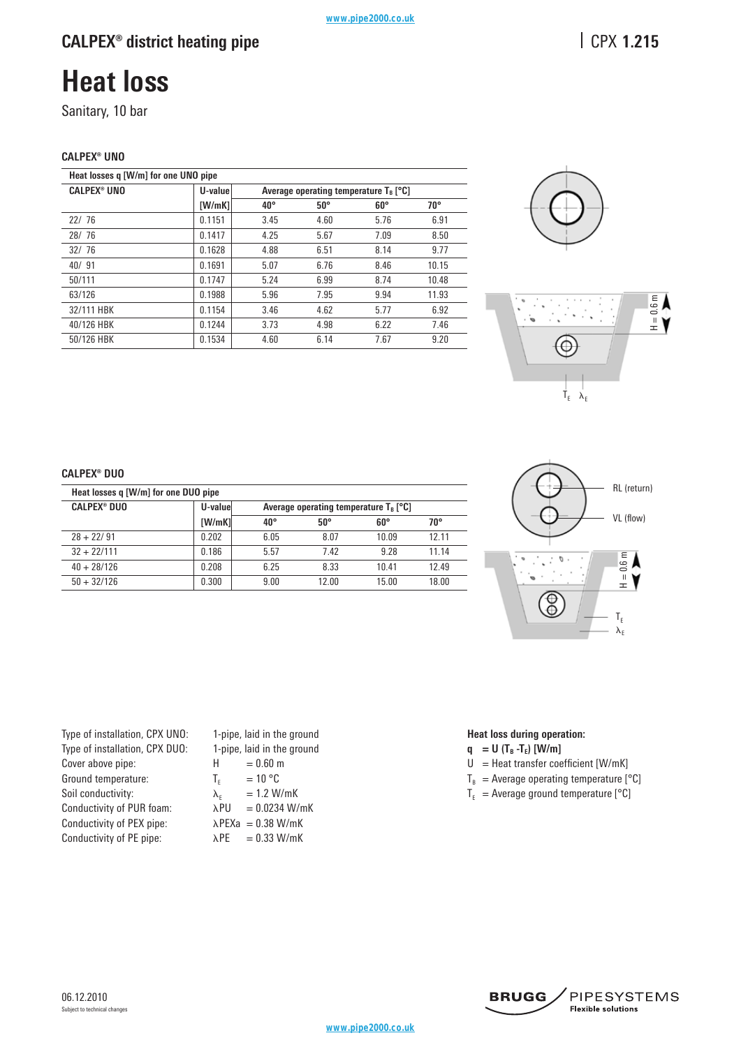# **Heat loss**

Sanitary, 10 bar

### **CALPEX® UNO**

| Heat losses q [W/m] for one UNO pipe |         |              |              |                                                     |       |
|--------------------------------------|---------|--------------|--------------|-----------------------------------------------------|-------|
| <b>CALPEX® UNO</b>                   | U-value |              |              | Average operating temperature $T_R$ [ $^{\circ}$ C] |       |
|                                      | [W/mK]  | $40^{\circ}$ | $50^{\circ}$ | $60^{\circ}$                                        | 70°   |
| 22/76                                | 0.1151  | 3.45         | 4.60         | 5.76                                                | 6.91  |
| 28/76                                | 0.1417  | 4.25         | 5.67         | 7.09                                                | 8.50  |
| 32/76                                | 0.1628  | 4.88         | 6.51         | 8.14                                                | 9.77  |
| 40/91                                | 0.1691  | 5.07         | 6.76         | 8.46                                                | 10.15 |
| 50/111                               | 0.1747  | 5.24         | 6.99         | 8.74                                                | 10.48 |
| 63/126                               | 0.1988  | 5.96         | 7.95         | 9.94                                                | 11.93 |
| 32/111 HBK                           | 0.1154  | 3.46         | 4.62         | 5.77                                                | 6.92  |
| 40/126 HBK                           | 0.1244  | 3.73         | 4.98         | 6.22                                                | 7.46  |
| 50/126 HBK                           | 0.1534  | 4.60         | 6.14         | 7.67                                                | 9.20  |





### **CALPEX® DUO**

| Heat losses q [W/m] for one DUO pipe |         |              |                                                     |              |       |  |  |
|--------------------------------------|---------|--------------|-----------------------------------------------------|--------------|-------|--|--|
| <b>CALPEX® DUO</b>                   | U-value |              | Average operating temperature $T_B$ [ $^{\circ}$ C] |              |       |  |  |
|                                      | [W/mK]  | $40^{\circ}$ | $50^{\circ}$                                        | $60^{\circ}$ | 70°   |  |  |
| $28 + 22/91$                         | 0.202   | 6.05         | 8.07                                                | 10.09        | 12.11 |  |  |
| $32 + 22/111$                        | 0.186   | 5.57         | 7.42                                                | 9 28         | 11.14 |  |  |
| $40 + 28/126$                        | 0.208   | 6.25         | 8.33                                                | 10.41        | 12.49 |  |  |
| $50 + 32/126$                        | 0.300   | 9.00         | 12.00                                               | 15.00        | 18.00 |  |  |



| Type of installation, CPX UNO: |
|--------------------------------|
| Type of installation, CPX DUO: |
| Cover above pipe:              |
| Ground temperature:            |
| Soil conductivity:             |
| Conductivity of PUR foam:      |
| Conductivity of PEX pipe:      |
| Conductivity of PE pipe:       |
|                                |

06.12.2010

Subject to technical changes

1-pipe, laid in the ground 1-pipe, laid in the ground  $H = 0.60$  m  $T_F$  = 10 °C  $\lambda_F$  = 1.2 W/mK  $\lambda$ PU = 0.0234 W/mK  $\lambda$ PEXa = 0.38 W/mK  $\lambda$ PE = 0.33 W/mK

## **Heat loss during operation:**

- $q = U (T_B T_E)$  [W/m]
- $U =$  Heat transfer coefficient [W/mK]
- $T_B$  = Average operating temperature [°C]
- $T_{E}$  = Average ground temperature [°C]



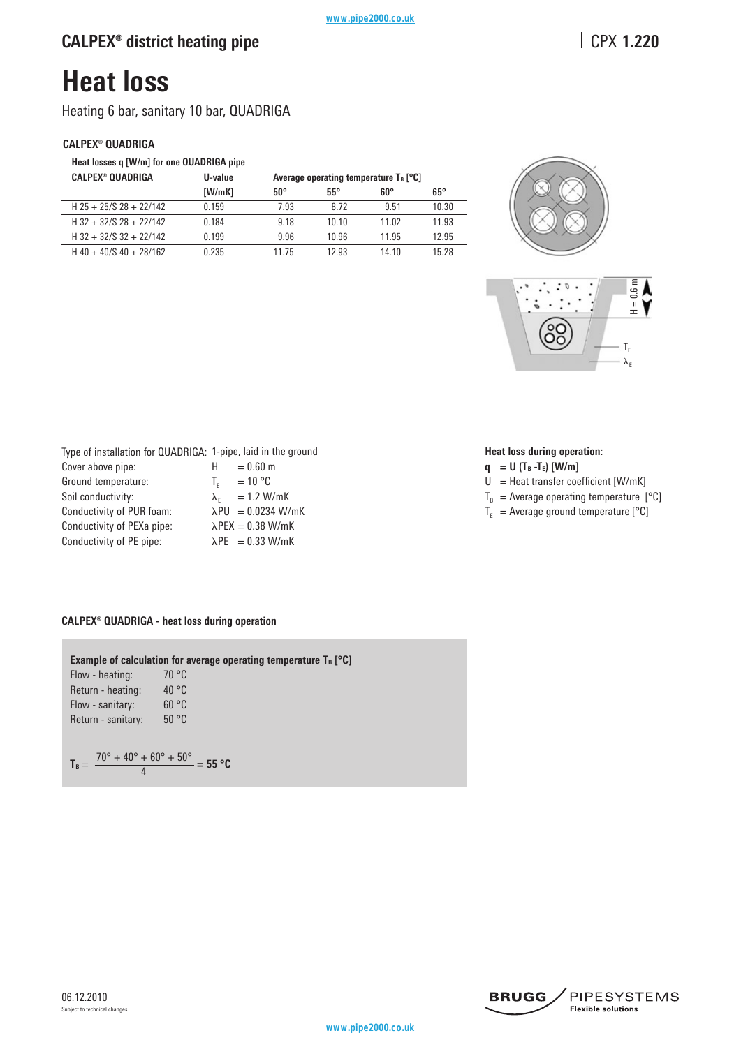# **Heat loss**

Heating 6 bar, sanitary 10 bar, QUADRIGA

## **CALPEX® QUADRIGA**

| Heat losses q [W/m] for one QUADRIGA pipe |         |                                                     |            |       |            |  |  |
|-------------------------------------------|---------|-----------------------------------------------------|------------|-------|------------|--|--|
| <b>CALPEX® QUADRIGA</b>                   | U-value | Average operating temperature $T_B$ [ $^{\circ}$ C] |            |       |            |  |  |
|                                           | [W/mK]  | $50^{\circ}$                                        | $55^\circ$ | 60°   | $65^\circ$ |  |  |
| $H$ 25 + 25/S 28 + 22/142                 | 0.159   | 7.93                                                | 8.72       | 951   | 10.30      |  |  |
| $H$ 32 + 32/S 28 + 22/142                 | 0.184   | 9.18                                                | 10.10      | 11.02 | 11.93      |  |  |
| $H$ 32 + 32/S 32 + 22/142                 | 0.199   | 9.96                                                | 10.96      | 11 95 | 12.95      |  |  |
| $H$ 40 + 40/S 40 + 28/162                 | 0.235   | 11 75                                               | 12 93      | 14.10 | 15 28      |  |  |



| Type of installation for QUADRIGA: 1-pipe, laid in the ground |                              |  |
|---------------------------------------------------------------|------------------------------|--|
| Cover above pipe:                                             | $= 0.60$ m<br>н              |  |
| Ground temperature:                                           | $=10 °C$<br>$T_{\rm c}$      |  |
| Soil conductivity:                                            | $\lambda_{\rm r}$ = 1.2 W/mK |  |
| Conductivity of PUR foam:                                     | $\lambda$ PU = 0.0234 W/mK   |  |
| Conductivity of PEXa pipe:                                    | $\lambda$ PEX = 0.38 W/mK    |  |
| Conductivity of PE pipe:                                      | $\lambda$ PE = 0.33 W/mK     |  |

### **Heat loss during operation:**

- $q = U (T_B T_E)$  [W/m]
- $U =$  Heat transfer coefficient [W/mK]
- $T_B$  = Average operating temperature [°C]
- $T_E$  = Average ground temperature [°C]

### **CALPEX® QUADRIGA - heat loss during operation**

**Example of calculation for average operating temperature**  $T_B$  **[** $°C$ **]** Flow - heating: 70 °C Return - heating: 40 °C Flow - sanitary: 60 °C Return - sanitary: 50 °C  $T_B = \frac{70^{\circ} + 40^{\circ} + 60^{\circ} + 50^{\circ}}{4} = 55 \text{ °C}$ 



 $\cdot$ <sub>6</sub> – 4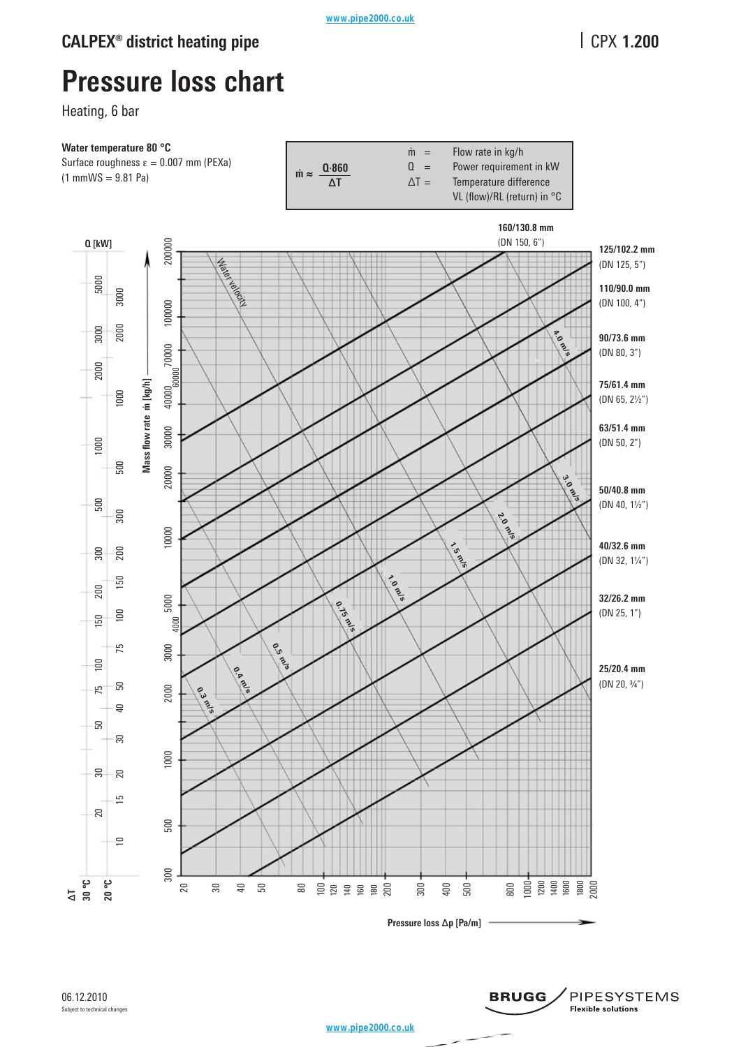# **Pressure loss chart**

Heating, 6 bar



**Mass flow rate m˙ [kg/h]**

www.pipe2000.co.uk